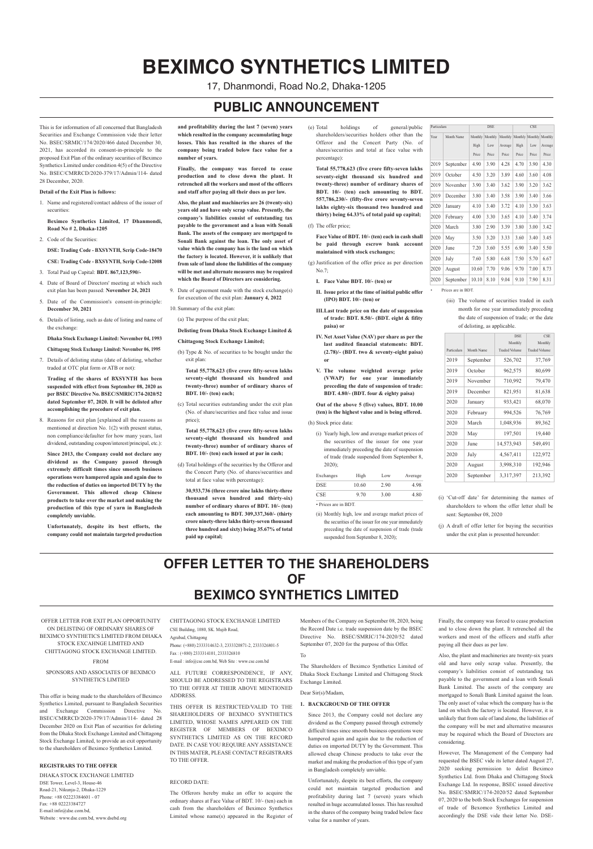This is for information of all concerned that Bangladesh Securities and Exchange Commission vide their letter No. BSEC/SRMIC/174/2020/466 dated December 30, 2021, has accorded its consent-in-principle to the proposed Exit Plan of the ordinary securities of Beximco Synthetics Limited under condition 4(5) of the Directive No. BSEC/CMRRCD/2020-379/17/Admin/114- dated 28 December, 2020.

#### **Detail of the Exit Plan is follows:**

1. Name and registered/contact address of the issuer of securities:

**Beximco Synthetics Limited, 17 Dhanmondi, Road No # 2, Dhaka-1205**

2. Code of the Securities:

**DSE: Trading Code - BXSYNTH, Scrip Code-18470**

- **CSE: Trading Code - BXSYNTH, Scrip Code-12008**
- 3. Total Paid up Capital: **BDT. 867,123,590/-**
- 4. Date of Board of Directors' meeting at which such exit plan has been passed: **November 24, 2021**
- 5. Date of the Commission's consent-in-principle: **December 30, 2021**
- 6. Details of listing, such as date of listing and name of the exchange:

**Dhaka Stock Exchange Limited: November 04, 1993**

- **Chittagong Stock Exchange Limited: November 06, 1995** 7. Details of delisting status (date of delisting, whether
- traded at OTC plat form or ATB or not):

**Trading of the shares of BXSYNTH has been suspended with effect from September 08, 2020 as per BSEC Directive No. BSEC/SMRIC/174-2020/52 dated September 07, 2020. It will be delisted after accomplishing the procedure of exit plan.**

8. Reasons for exit plan [explained all the reasons as mentioned at direction No. 1(2) with present status, non compliance/defaulter for how many years, last dividend, outstanding coupon/interest/principal, etc.):

**Since 2013, the Company could not declare any dividend as the Company passed through extremely difficult times since smooth business operations were hampered again and again due to the reduction of duties on imported DUTY by the Government. This allowed cheap Chinese products to take over the market and making the production of this type of yarn in Bangladesh completely unviable.**

**Unfortunately, despite its best efforts, the company could not maintain targeted production**

**and profitability during the last 7 (seven) years which resulted in the company accumulating huge losses. This has resulted in the shares of the company being traded below face value for a number of years.**

**Finally, the company was forced to cease production and to close down the plant. It retrenched all the workers and most of the officers and staff after paying all their dues as per law.**

**Also, the plant and machineries are 26 (twenty-six) years old and have only scrap value. Presently, the company's liabilities consist of outstanding tax payable to the government and a loan with Sonali Bank. The assets of the company are mortgaged to Sonali Bank against the loan. The only asset of value which the company has is the land on which the factory is located. However, it is unlikely that from sale of land alone the liabilities of the company will be met and alternate measures may be required which the Board of Directors are considering.**

9. Date of agreement made with the stock exchange(s) for execution of the exit plan: **January 4, 2022**

10. Summary of the exit plan:

(a) The purpose of the exit plan;

**Delisting from Dhaka Stock Exchange Limited &**

- **Chittagong Stock Exchange Limited;**
- (b) Type & No. of securities to be bought under the exit plan:

**Total 55,778,623 (five crore fifty-seven lakhs seventy-eight thousand six hundred and twenty-three) number of ordinary shares of BDT. 10/- (ten) each;**

(c) Total securities outstanding under the exit plan (No. of share/securities and face value and issue price);

**Total 55,778,623 (five crore fifty-seven lakhs seventy-eight thousand six hundred and twenty-three) number of ordinary shares of BDT. 10/- (ten) each issued at par in cash;**

- (d) Total holdings of the securities by the Offeror and the Concert Party (No. of shares/securities and total at face value with percentage):
	- **30,933,736 (three crore nine lakhs thirty-three**

**thousand seven hundred and thirty-six) number of ordinary shares of BDT. 10/- (ten) each amounting to BDT. 309,337,360/- (thirty crore ninety-three lakhs thirty-seven thousand three hundred and sixty) being 35.67% of total paid up capital;**

(e) Total holdings of general/public shareholders/securities holders other than the Offeror and the Concert Party (No. of shares/securities and total at face value with percentage):

**Total 55,778,623 (five crore fifty-seven lakhs seventy-eight thousand six hundred and twenty-three) number of ordinary shares of BDT. 10/- (ten) each amounting to BDT. 557,786,230/- (fifty-five crore seventy-seven lakhs eighty-six thousand two hundred and thirty) being 64.33% of total paid up capital;**

(f) The offer price;

**Face Value of BDT. 10/- (ten) each in cash shall be paid through escrow bank account maintained with stock exchanges;**

- (g) Justification of the offer price as per direction No.7;
	- **I. Face Value BDT. 10/- (ten) or**
	- **II. Issue price at the time of initial public offer (IPO) BDT. 10/- (ten) or**
	- **III.Last trade price on the date of suspension of trade: BDT. 8.50/- (BDT. eight & fifity paisa) or**
	- **IV. Net Asset Value (NAV) per share as per the last audited financial statements: BDT. (2.78)/- (BDT. two & seventy-eight paisa) or**
	- **V. The volume weighted average price (VWAP) for one year immediately preceding the date of suspension of trade: BDT. 4.80/- (BDT. four & eighty paisa)**

**Out of the above 5 (five) values, BDT. 10.00 (ten) is the highest value and is being offered.**

(h) Stock price data:

(i) Yearly high, low and average market prices of the securities of the issuer for one year immediately preceding the date of suspension of trade (trade suspended from September 8, 2020);

| Exchanges            | High  | Low  | Average |
|----------------------|-------|------|---------|
| <b>DSE</b>           | 10.60 | 2.90 | 4.98    |
| <b>CSE</b>           | 9.70  | 3.00 | 4.80    |
| • Prices are in BDT. |       |      |         |

| Particulars |                   | <b>DSE</b> |         |         | <b>CSE</b> |         |         |
|-------------|-------------------|------------|---------|---------|------------|---------|---------|
| Year        | <b>Month Name</b> | Monthly    | Monthly | Monthly | Monthly    | Monthly | Monthly |
|             |                   | High       | Low     | Average | High       | Low     | Average |
|             |                   | Price      | Price   | Price   | Price      | Price   | Price   |
| 2019        | September         | 4.90       | 3.90    | 4.28    | 4.70       | 3.90    | 4.30    |
| 2019        | October           | 4.50       | 3.20    | 3.89    | 4.60       | 3.60    | 4.08    |
| 2019        | November          | 3.90       | 3.40    | 3.62    | 3.90       | 3.20    | 3.62    |
| 2019        | December          | 3.80       | 3.40    | 3.58    | 3.90       | 3.40    | 3.66    |
| 2020        | January           | 4.10       | 3.40    | 3.72    | 4.10       | 3.30    | 3.63    |
| 2020        | February          | 4.00       | 3.30    | 3.65    | 4.10       | 3.40    | 3.74    |
| 2020        | March             | 3.80       | 2.90    | 3.39    | 3.80       | 3.00    | 3.42    |
| 2020        | May               | 3.50       | 3.20    | 3.33    | 3.60       | 3.40    | 3.45    |
| 2020        | June              | 7.20       | 3.60    | 5.55    | 6.90       | 3.40    | 5.50    |
| 2020        | July              | 7.60       | 5.80    | 6.68    | 7.50       | 5.70    | 6.67    |
| 2020        | August            | 10.60      | 7.70    | 9.06    | 9.70       | 7.00    | 8.73    |
| 2020        | September         | 10.10      | 8.10    | 9.04    | 9.10       | 7.90    | 8.31    |

Prices are in BDT.

- (ii) Monthly high, low and average market prices of the securities of the issuer for one year immediately preceding the date of suspension of trade (trade suspended from September 8, 2020);
- (i) 'Cut-off date' for determining the names of shareholders to whom the offer letter shall be sent: September 08, 2020
- (j) A draft of offer letter for buying the securities under the exit plan is presented hereunder:

(iii) The volume of securities traded in each month for one year immediately preceding the date of suspension of trade; or the date of delisting, as applicable.

|             |            | <b>DSE</b><br>Monthly | <b>CSE</b><br>Monthly |
|-------------|------------|-----------------------|-----------------------|
| Particulars | Month Name | <b>Traded Volume</b>  | <b>Traded Volume</b>  |
| 2019        | September  | 526,702               | 37,769                |
| 2019        | October    | 962,575               | 80,699                |
| 2019        | November   | 710,992               | 79,470                |
| 2019        | December   | 821,951               | 81,638                |
| 2020        | January    | 933,421               | 68,070                |
| 2020        | February   | 994,526               | 76,769                |
| 2020        | March      | 1,048,936             | 89,362                |
| 2020        | May        | 197,501               | 19,440                |
| 2020        | June       | 14,573,943            | 549,491               |
| 2020        | July       | 4,567,411             | 122,972               |
| 2020        | August     | 3,998,310             | 192,946               |
| 2020        | September  | 3,317,397             | 213,392               |

# **BEXIMCO SYNTHETICS LIMITED**

17, Dhanmondi, Road No.2, Dhaka-1205

# **PUBLIC ANNOUNCEMENT**

# **OFFER LETTER TO THE SHAREHOLDERS OF BEXIMCO SYNTHETICS LIMITED**

OFFER LETTER FOR EXIT PLAN OPPORTUNITY ON DELISTING OF ORDINARY SHARES OF BEXIMCO SYNTHETICS LIMITED FROM DHAKA STOCK EXCAHNGE LIMITED AND CHITTAGONG STOCK EXCHANGE LIMITED.

#### FROM

# SPONSORS AND ASSOCIATES OF BEXIMCO SYNTHETICS LIMTIED

This offer is being made to the shareholders of Beximco Synthetics Limited, pursuant to Bangladesh Securities and Exchange Commission Directive No. BSEC/CMRRCD/2020-379/17/Admin/114- dated 28 December 2020 on Exit Plan of securities for delisting from the Dhaka Stock Exchange Limited and Chittagong Stock Exchange Limited, to provide an exit opportunity to the shareholders of Beximco Synthetics Limited.

#### **REGISTRARS TO THE OFFER**

DHAKA STOCK EXCHANGE LIMITED DSE Tower, Level-3, House-46 Road-21, Nikunja-2, Dhaka-1229 Phone: +88 02223384601 - 07 Fax: +88 02223384727 E-mail:info@dse.com.bd, Website : www.dse.com.bd, www.dsebd.org

CHITTAGONG STOCK EXCHANGE LIMITED CSE Building, 1080, SK. Mujib Road,

#### Agrabad, Chittagong

Phone: (+880) 2333314632-3, 2333320871-2, 2333326801-5 Fax : (+880) 2333314101, 2333326810 E-mail : info@cse.com.bd, Web Site : www.cse.com.bd

ALL FUTURE CORRESPONDENCE, IF ANY, SHOULD BE ADDRESSED TO THE REGISTRARS TO THE OFFER AT THEIR ABOVE MENTIONED ADDRESS.

THIS OFFER IS RESTRICTED/VALID TO THE SHAREHOLDERS OF BEXIMCO SYNTHETICS LIMITED, WHOSE NAMES APPEARED ON THE REGISTER OF MEMBERS OF BEXIMCO SYNTHETICS LIMITED AS ON THE RECORD DATE. IN CASE YOU REQUIRE ANY ASSISTANCE IN THIS MATER, PLEASE CONTACT REGISTRARS TO THE OFFER.

### RECORD DATE:

The Offerors hereby make an offer to acquire the ordinary shares at Face Value of BDT. 10/- (ten) each in cash from the shareholders of Beximco Synthetics Limited whose name(s) appeared in the Register of Members of the Company on September 08, 2020, being the Record Date i.e. trade suspension date by the BSEC Directive No. BSEC/SMRIC/174-2020/52 dated September 07, 2020 for the purpose of this Offer.

#### To

The Shareholders of Beximco Synthetics Limited of Dhaka Stock Exchange Limited and Chittagong Stock Exchange Limited.

#### Dear Sir(s)/Madam,

#### **1. BACKGROUND OF THE OFFER**

Since 2013, the Company could not declare any dividend as the Company passed through extremely difficult times since smooth business operations were hampered again and again due to the reduction of duties on imported DUTY by the Government. This allowed cheap Chinese products to take over the market and making the production of this type of yarn in Bangladesh completely unviable.

Unfortunately, despite its best efforts, the company could not maintain targeted production and profitability during last 7 (seven) years which resulted in huge accumulated losses. This has resulted in the shares of the company being traded below face value for a number of years.

Finally, the company was forced to cease production and to close down the plant. It retrenched all the workers and most of the officers and staffs after paying all their dues as per law.

Also, the plant and machineries are twenty-six years old and have only scrap value. Presently, the company's liabilities consist of outstanding tax payable to the government and a loan with Sonali Bank Limited. The assets of the company are mortgaged to Sonali Bank Limited against the loan. The only asset of value which the company has is the land on which the factory is located. However, it is unlikely that from sale of land alone, the liabilities of the company will be met and alternative measures may be required which the Board of Directors are considering.

However, The Management of the Company had requested the BSEC vide its letter dated August 27, 2020 seeking permission to delist Beximco Synthetics Ltd. from Dhaka and Chittagong Stock Exchange Ltd. In response, BSEC issued directive No. BSEC/SMRIC/174-2020/52 dated September 07, 2020 to the both Stock Exchanges for suspension of trade of Bexomco Synthetics Limited and accordingly the DSE vide their letter No. DSE-